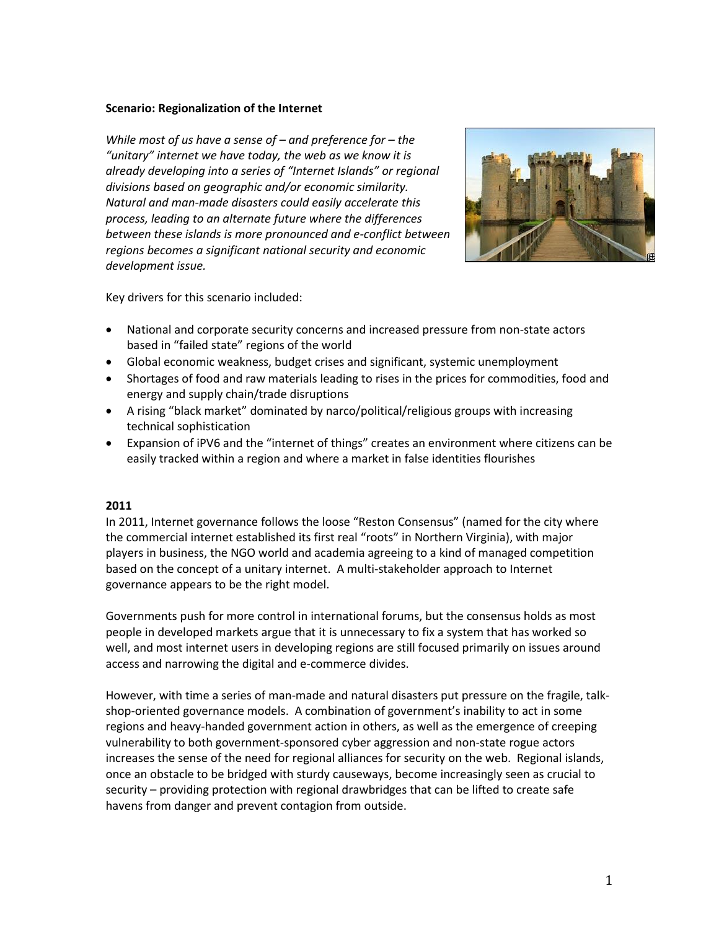#### **Scenario: Regionalization of the Internet**

*While most of us have a sense of – and preference for – the "unitary" internet we have today, the web as we know it is already developing into a series of "Internet Islands" or regional divisions based on geographic and/or economic similarity. Natural and man-made disasters could easily accelerate this process, leading to an alternate future where the differences between these islands is more pronounced and e-conflict between regions becomes a significant national security and economic development issue.* 



Key drivers for this scenario included:

- National and corporate security concerns and increased pressure from non-state actors based in "failed state" regions of the world
- Global economic weakness, budget crises and significant, systemic unemployment
- Shortages of food and raw materials leading to rises in the prices for commodities, food and energy and supply chain/trade disruptions
- A rising "black market" dominated by narco/political/religious groups with increasing technical sophistication
- Expansion of iPV6 and the "internet of things" creates an environment where citizens can be easily tracked within a region and where a market in false identities flourishes

## **2011**

In 2011, Internet governance follows the loose "Reston Consensus" (named for the city where the commercial internet established its first real "roots" in Northern Virginia), with major players in business, the NGO world and academia agreeing to a kind of managed competition based on the concept of a unitary internet. A multi-stakeholder approach to Internet governance appears to be the right model.

Governments push for more control in international forums, but the consensus holds as most people in developed markets argue that it is unnecessary to fix a system that has worked so well, and most internet users in developing regions are still focused primarily on issues around access and narrowing the digital and e-commerce divides.

However, with time a series of man-made and natural disasters put pressure on the fragile, talkshop-oriented governance models. A combination of government's inability to act in some regions and heavy-handed government action in others, as well as the emergence of creeping vulnerability to both government-sponsored cyber aggression and non-state rogue actors increases the sense of the need for regional alliances for security on the web. Regional islands, once an obstacle to be bridged with sturdy causeways, become increasingly seen as crucial to security – providing protection with regional drawbridges that can be lifted to create safe havens from danger and prevent contagion from outside.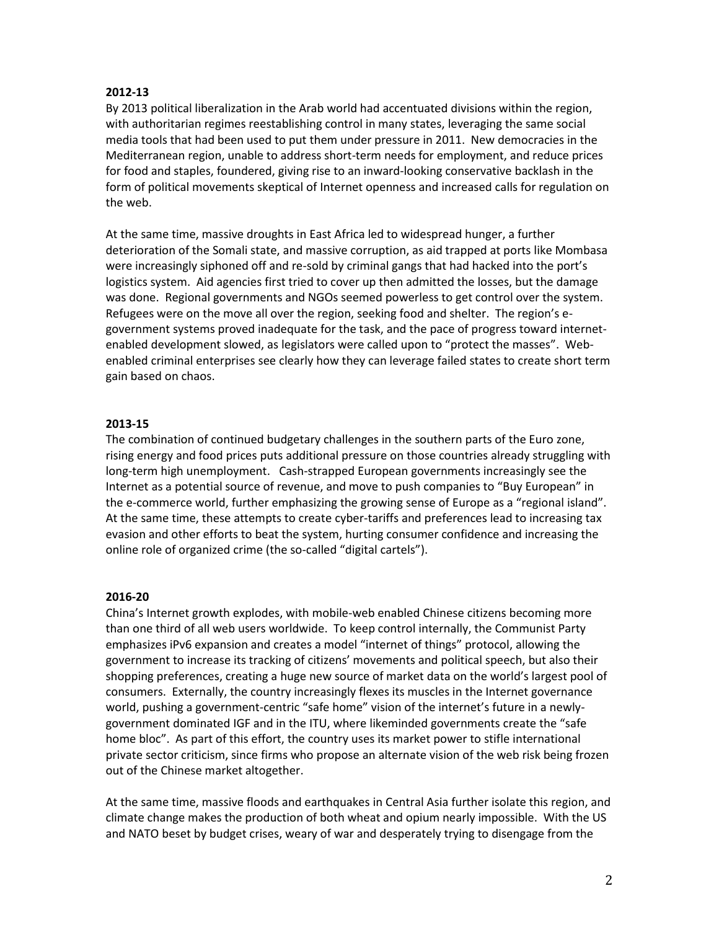## **2012-13**

By 2013 political liberalization in the Arab world had accentuated divisions within the region, with authoritarian regimes reestablishing control in many states, leveraging the same social media tools that had been used to put them under pressure in 2011. New democracies in the Mediterranean region, unable to address short-term needs for employment, and reduce prices for food and staples, foundered, giving rise to an inward-looking conservative backlash in the form of political movements skeptical of Internet openness and increased calls for regulation on the web.

At the same time, massive droughts in East Africa led to widespread hunger, a further deterioration of the Somali state, and massive corruption, as aid trapped at ports like Mombasa were increasingly siphoned off and re-sold by criminal gangs that had hacked into the port's logistics system. Aid agencies first tried to cover up then admitted the losses, but the damage was done. Regional governments and NGOs seemed powerless to get control over the system. Refugees were on the move all over the region, seeking food and shelter. The region's egovernment systems proved inadequate for the task, and the pace of progress toward internetenabled development slowed, as legislators were called upon to "protect the masses". Webenabled criminal enterprises see clearly how they can leverage failed states to create short term gain based on chaos.

# **2013-15**

The combination of continued budgetary challenges in the southern parts of the Euro zone, rising energy and food prices puts additional pressure on those countries already struggling with long-term high unemployment. Cash-strapped European governments increasingly see the Internet as a potential source of revenue, and move to push companies to "Buy European" in the e-commerce world, further emphasizing the growing sense of Europe as a "regional island". At the same time, these attempts to create cyber-tariffs and preferences lead to increasing tax evasion and other efforts to beat the system, hurting consumer confidence and increasing the online role of organized crime (the so-called "digital cartels").

## **2016-20**

China's Internet growth explodes, with mobile-web enabled Chinese citizens becoming more than one third of all web users worldwide. To keep control internally, the Communist Party emphasizes iPv6 expansion and creates a model "internet of things" protocol, allowing the government to increase its tracking of citizens' movements and political speech, but also their shopping preferences, creating a huge new source of market data on the world's largest pool of consumers. Externally, the country increasingly flexes its muscles in the Internet governance world, pushing a government-centric "safe home" vision of the internet's future in a newlygovernment dominated IGF and in the ITU, where likeminded governments create the "safe home bloc". As part of this effort, the country uses its market power to stifle international private sector criticism, since firms who propose an alternate vision of the web risk being frozen out of the Chinese market altogether.

At the same time, massive floods and earthquakes in Central Asia further isolate this region, and climate change makes the production of both wheat and opium nearly impossible. With the US and NATO beset by budget crises, weary of war and desperately trying to disengage from the